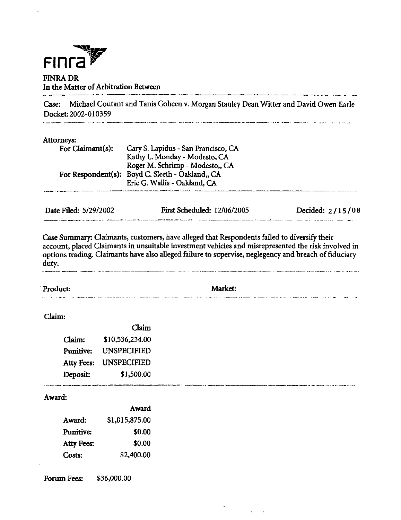

#### FINRA DR In the Matter of Arbitration Between

Case: Michael Coutant and Tanis Goheen v. Morgan Stanley Dean Witter and David Owen Earle Docket: 2002-010359

sentimane (Sams Supply Sprinterine () (Colonia 20 announcement account substitute () (non semine ) (second ) an

a wela cijaliwe si nasi

and a state

## Attomeys:

للساد

| .                |                                                  |
|------------------|--------------------------------------------------|
| For Claimant(s): | Cary S. Lapidus - San Francisco, CA              |
|                  | Kathy L. Monday - Modesto, CA                    |
|                  | Roger M. Schrimp - Modesto,, CA                  |
|                  | For Respondent(s): Boyd C. Sleeth - Oakland,, CA |
|                  | Eric G. Wallis - Oakland, CA                     |
|                  |                                                  |

| Date Filed: 5/29/2002 | First Scheduled: 12/06/2005                                                                                    | Decided: 2/15/08 |
|-----------------------|----------------------------------------------------------------------------------------------------------------|------------------|
|                       | a de la capital de la capital de la capital de la capital de la capital de la capital de la capital de la capi | .                |

Case Summary: Claimants, customers, have alleged that Respondents failed to diversify their account, placed Claimants in unsuitable investment vehicles and misrepresented the risk involved in options trading. Claimants have also alleged failure to supervise, neglegency and breach of fiduciary duty.  $\frac{1}{2}$  . The set of the set of the set of the set of the set of the set of the set of the set of the set of the set of the set of the set of the set of the set of the set of the set of the set of the set of the set of 

.<br>Manazarta dan kacamatan kalendar yang menyakan menghasilkan dalam menjadi kacamatan dan menjadi kalendar dan m

Product: Market: Market:

a sa mga sa magaal

الساوديان الصدر المحمد الجديد فتقدر وتقفيت

## Claim:

|                   | Claim              |
|-------------------|--------------------|
| Claim:            | \$10,536,234.00    |
| <b>Punitive:</b>  | <b>UNSPECIFIED</b> |
| <b>Atty Fees:</b> | UNSPECIFIED        |
| Deposit:          | \$1,500.00         |

Award:

|                   | Award          |
|-------------------|----------------|
| Award:            | \$1,015,875.00 |
| <b>Punitive:</b>  | \$0.00         |
| <b>Atty Fees:</b> | \$0.00         |
| Costs:            | \$2,400.00     |

Forum Fees: \$36,000.00